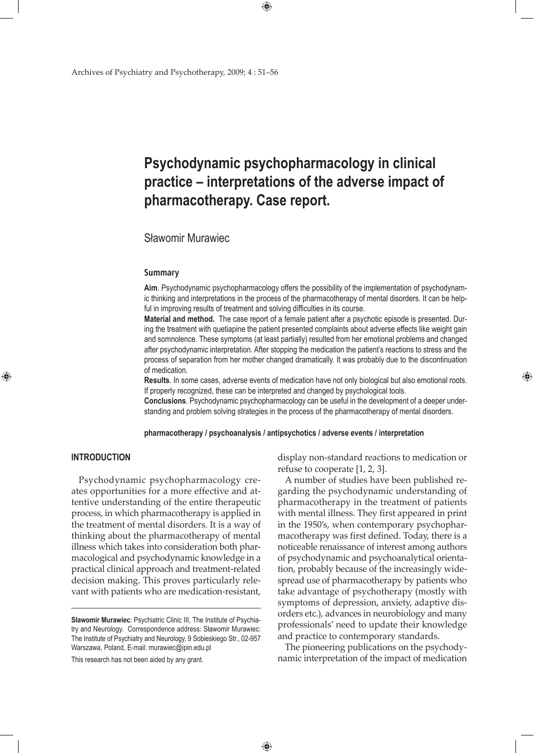# **Psychodynamic psychopharmacology in clinical practice – interpretations of the adverse impact of pharmacotherapy. Case report.**

 $\bigoplus$ 

## Sławomir Murawiec

#### **Summary**

**Aim**. Psychodynamic psychopharmacology offers the possibility of the implementation of psychodynamic thinking and interpretations in the process of the pharmacotherapy of mental disorders. It can be helpful in improving results of treatment and solving difficulties in its course.

**Material and method.** The case report of a female patient after a psychotic episode is presented. During the treatment with quetiapine the patient presented complaints about adverse effects like weight gain and somnolence. These symptoms (at least partially) resulted from her emotional problems and changed after psychodynamic interpretation. After stopping the medication the patient's reactions to stress and the process of separation from her mother changed dramatically. It was probably due to the discontinuation of medication.

**Results**. In some cases, adverse events of medication have not only biological but also emotional roots. If properly recognized, these can be interpreted and changed by psychological tools.

**Conclusions**. Psychodynamic psychopharmacology can be useful in the development of a deeper understanding and problem solving strategies in the process of the pharmacotherapy of mental disorders.

**pharmacotherapy / psychoanalysis / antipsychotics / adverse events / interpretation**

 $\bigoplus$ 

## **INTRODUCTION**

⊕

Psychodynamic psychopharmacology creates opportunities for a more effective and attentive understanding of the entire therapeutic process, in which pharmacotherapy is applied in the treatment of mental disorders. It is a way of thinking about the pharmacotherapy of mental illness which takes into consideration both pharmacological and psychodynamic knowledge in a practical clinical approach and treatment-related decision making. This proves particularly relevant with patients who are medication-resistant,

This research has not been aided by any grant.

display non-standard reactions to medication or refuse to cooperate [1, 2, 3].

⊕

A number of studies have been published regarding the psychodynamic understanding of pharmacotherapy in the treatment of patients with mental illness. They first appeared in print in the 1950's, when contemporary psychopharmacotherapy was first defined. Today, there is a noticeable renaissance of interest among authors of psychodynamic and psychoanalytical orientation, probably because of the increasingly widespread use of pharmacotherapy by patients who take advantage of psychotherapy (mostly with symptoms of depression, anxiety, adaptive disorders etc.), advances in neurobiology and many professionals' need to update their knowledge and practice to contemporary standards.

The pioneering publications on the psychodynamic interpretation of the impact of medication

**Sławomir Murawiec**: Psychiatric Clinic III, The Institute of Psychiatry and Neurology. Correspondence address: Sławomir Murawiec: The Institute of Psychiatry and Neurology, 9 Sobieskiego Str., 02-957 Warszawa, Poland, E-mail: murawiec@ipin.edu.pl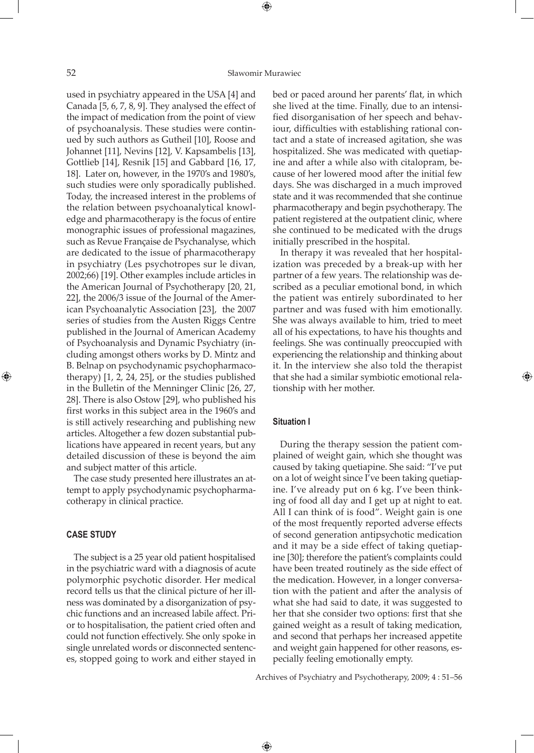⊕

used in psychiatry appeared in the USA [4] and Canada [5, 6, 7, 8, 9]. They analysed the effect of the impact of medication from the point of view of psychoanalysis. These studies were continued by such authors as Gutheil [10], Roose and Johannet [11], Nevins [12], V. Kapsambelis [13], Gottlieb [14], Resnik [15] and Gabbard [16, 17, 18]. Later on, however, in the 1970's and 1980's, such studies were only sporadically published. Today, the increased interest in the problems of the relation between psychoanalytical knowledge and pharmacotherapy is the focus of entire monographic issues of professional magazines, such as Revue Française de Psychanalyse, which are dedicated to the issue of pharmacotherapy in psychiatry (Les psychotropes sur le divan, 2002;66) [19]. Other examples include articles in the American Journal of Psychotherapy [20, 21, 22], the 2006/3 issue of the Journal of the American Psychoanalytic Association [23], the 2007 series of studies from the Austen Riggs Centre published in the Journal of American Academy of Psychoanalysis and Dynamic Psychiatry (including amongst others works by D. Mintz and B. Belnap on psychodynamic psychopharmacotherapy) [1, 2, 24, 25], or the studies published in the Bulletin of the Menninger Clinic [26, 27, 28]. There is also Ostow [29], who published his first works in this subject area in the 1960's and is still actively researching and publishing new articles. Altogether a few dozen substantial publications have appeared in recent years, but any detailed discussion of these is beyond the aim and subject matter of this article.

The case study presented here illustrates an attempt to apply psychodynamic psychopharmacotherapy in clinical practice.

## **CASE STUDY**

⊕

The subject is a 25 year old patient hospitalised in the psychiatric ward with a diagnosis of acute polymorphic psychotic disorder. Her medical record tells us that the clinical picture of her illness was dominated by a disorganization of psychic functions and an increased labile affect. Prior to hospitalisation, the patient cried often and could not function effectively. She only spoke in single unrelated words or disconnected sentences, stopped going to work and either stayed in

bed or paced around her parents' flat, in which she lived at the time. Finally, due to an intensified disorganisation of her speech and behaviour, difficulties with establishing rational contact and a state of increased agitation, she was hospitalized. She was medicated with quetiapine and after a while also with citalopram, because of her lowered mood after the initial few days. She was discharged in a much improved state and it was recommended that she continue pharmacotherapy and begin psychotherapy. The patient registered at the outpatient clinic, where she continued to be medicated with the drugs initially prescribed in the hospital.

In therapy it was revealed that her hospitalization was preceded by a break-up with her partner of a few years. The relationship was described as a peculiar emotional bond, in which the patient was entirely subordinated to her partner and was fused with him emotionally. She was always available to him, tried to meet all of his expectations, to have his thoughts and feelings. She was continually preoccupied with experiencing the relationship and thinking about it. In the interview she also told the therapist that she had a similar symbiotic emotional relationship with her mother.

⊕

## **Situation I**

 $\bigoplus$ 

During the therapy session the patient complained of weight gain, which she thought was caused by taking quetiapine. She said: "I've put on a lot of weight since I've been taking quetiapine. I've already put on 6 kg. I've been thinking of food all day and I get up at night to eat. All I can think of is food". Weight gain is one of the most frequently reported adverse effects of second generation antipsychotic medication and it may be a side effect of taking quetiapine [30]; therefore the patient's complaints could have been treated routinely as the side effect of the medication. However, in a longer conversation with the patient and after the analysis of what she had said to date, it was suggested to her that she consider two options: first that she gained weight as a result of taking medication, and second that perhaps her increased appetite and weight gain happened for other reasons, especially feeling emotionally empty.

Archives of Psychiatry and Psychotherapy, 2009; 4 : 51–56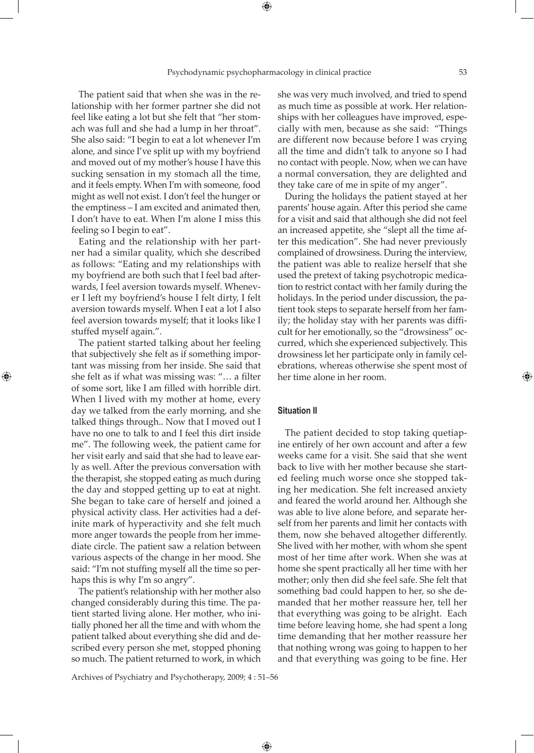⊕

The patient said that when she was in the relationship with her former partner she did not feel like eating a lot but she felt that "her stomach was full and she had a lump in her throat". She also said: "I begin to eat a lot whenever I'm alone, and since I've split up with my boyfriend and moved out of my mother's house I have this sucking sensation in my stomach all the time, and it feels empty. When I'm with someone, food might as well not exist. I don't feel the hunger or the emptiness – I am excited and animated then, I don't have to eat. When I'm alone I miss this feeling so I begin to eat".

Eating and the relationship with her partner had a similar quality, which she described as follows: "Eating and my relationships with my boyfriend are both such that I feel bad afterwards, I feel aversion towards myself. Whenever I left my boyfriend's house I felt dirty, I felt aversion towards myself. When I eat a lot I also feel aversion towards myself; that it looks like I stuffed myself again.".

The patient started talking about her feeling that subjectively she felt as if something important was missing from her inside. She said that she felt as if what was missing was: "… a filter of some sort, like I am filled with horrible dirt. When I lived with my mother at home, every day we talked from the early morning, and she talked things through.. Now that I moved out I have no one to talk to and I feel this dirt inside me". The following week, the patient came for her visit early and said that she had to leave early as well. After the previous conversation with the therapist, she stopped eating as much during the day and stopped getting up to eat at night. She began to take care of herself and joined a physical activity class. Her activities had a definite mark of hyperactivity and she felt much more anger towards the people from her immediate circle. The patient saw a relation between various aspects of the change in her mood. She said: "I'm not stuffing myself all the time so perhaps this is why I'm so angry".

⊕

The patient's relationship with her mother also changed considerably during this time. The patient started living alone. Her mother, who initially phoned her all the time and with whom the patient talked about everything she did and described every person she met, stopped phoning so much. The patient returned to work, in which she was very much involved, and tried to spend as much time as possible at work. Her relationships with her colleagues have improved, especially with men, because as she said: "Things are different now because before I was crying all the time and didn't talk to anyone so I had no contact with people. Now, when we can have a normal conversation, they are delighted and they take care of me in spite of my anger".

During the holidays the patient stayed at her parents' house again. After this period she came for a visit and said that although she did not feel an increased appetite, she "slept all the time after this medication". She had never previously complained of drowsiness. During the interview, the patient was able to realize herself that she used the pretext of taking psychotropic medication to restrict contact with her family during the holidays. In the period under discussion, the patient took steps to separate herself from her family; the holiday stay with her parents was difficult for her emotionally, so the "drowsiness" occurred, which she experienced subjectively. This drowsiness let her participate only in family celebrations, whereas otherwise she spent most of her time alone in her room.

#### **Situation II**

 $\bigoplus$ 

The patient decided to stop taking quetiapine entirely of her own account and after a few weeks came for a visit. She said that she went back to live with her mother because she started feeling much worse once she stopped taking her medication. She felt increased anxiety and feared the world around her. Although she was able to live alone before, and separate herself from her parents and limit her contacts with them, now she behaved altogether differently. She lived with her mother, with whom she spent most of her time after work. When she was at home she spent practically all her time with her mother; only then did she feel safe. She felt that something bad could happen to her, so she demanded that her mother reassure her, tell her that everything was going to be alright. Each time before leaving home, she had spent a long time demanding that her mother reassure her that nothing wrong was going to happen to her and that everything was going to be fine. Her

Archives of Psychiatry and Psychotherapy, 2009; 4 : 51–56

⊕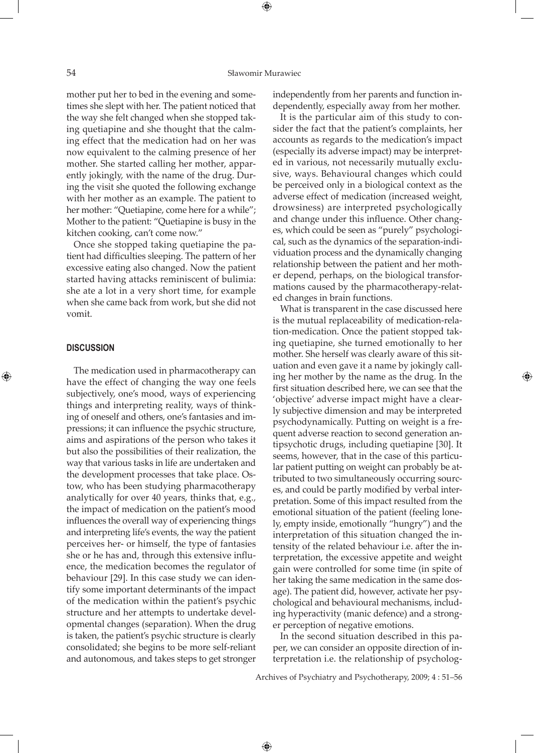#### 54 Sławomir Murawiec

mother put her to bed in the evening and sometimes she slept with her. The patient noticed that the way she felt changed when she stopped taking quetiapine and she thought that the calming effect that the medication had on her was now equivalent to the calming presence of her mother. She started calling her mother, apparently jokingly, with the name of the drug. During the visit she quoted the following exchange with her mother as an example. The patient to her mother: "Quetiapine, come here for a while"; Mother to the patient: "Quetiapine is busy in the kitchen cooking, can't come now."

Once she stopped taking quetiapine the patient had difficulties sleeping. The pattern of her excessive eating also changed. Now the patient started having attacks reminiscent of bulimia: she ate a lot in a very short time, for example when she came back from work, but she did not vomit.

#### **DISCUSSION**

⊕

The medication used in pharmacotherapy can have the effect of changing the way one feels subjectively, one's mood, ways of experiencing things and interpreting reality, ways of thinking of oneself and others, one's fantasies and impressions; it can influence the psychic structure, aims and aspirations of the person who takes it but also the possibilities of their realization, the way that various tasks in life are undertaken and the development processes that take place. Ostow, who has been studying pharmacotherapy analytically for over 40 years, thinks that, e.g., the impact of medication on the patient's mood influences the overall way of experiencing things and interpreting life's events, the way the patient perceives her- or himself, the type of fantasies she or he has and, through this extensive influence, the medication becomes the regulator of behaviour [29]. In this case study we can identify some important determinants of the impact of the medication within the patient's psychic structure and her attempts to undertake developmental changes (separation). When the drug is taken, the patient's psychic structure is clearly consolidated; she begins to be more self-reliant and autonomous, and takes steps to get stronger

independently from her parents and function independently, especially away from her mother.

It is the particular aim of this study to consider the fact that the patient's complaints, her accounts as regards to the medication's impact (especially its adverse impact) may be interpreted in various, not necessarily mutually exclusive, ways. Behavioural changes which could be perceived only in a biological context as the adverse effect of medication (increased weight, drowsiness) are interpreted psychologically and change under this influence. Other changes, which could be seen as "purely" psychological, such as the dynamics of the separation-individuation process and the dynamically changing relationship between the patient and her mother depend, perhaps, on the biological transformations caused by the pharmacotherapy-related changes in brain functions.

What is transparent in the case discussed here is the mutual replaceability of medication-relation-medication. Once the patient stopped taking quetiapine, she turned emotionally to her mother. She herself was clearly aware of this situation and even gave it a name by jokingly calling her mother by the name as the drug. In the first situation described here, we can see that the 'objective' adverse impact might have a clearly subjective dimension and may be interpreted psychodynamically. Putting on weight is a frequent adverse reaction to second generation antipsychotic drugs, including quetiapine [30]. It seems, however, that in the case of this particular patient putting on weight can probably be attributed to two simultaneously occurring sources, and could be partly modified by verbal interpretation. Some of this impact resulted from the emotional situation of the patient (feeling lonely, empty inside, emotionally "hungry") and the interpretation of this situation changed the intensity of the related behaviour i.e. after the interpretation, the excessive appetite and weight gain were controlled for some time (in spite of her taking the same medication in the same dosage). The patient did, however, activate her psychological and behavioural mechanisms, including hyperactivity (manic defence) and a stronger perception of negative emotions.

In the second situation described in this paper, we can consider an opposite direction of interpretation i.e. the relationship of psycholog-

Archives of Psychiatry and Psychotherapy, 2009; 4 : 51–56

 $\bigoplus$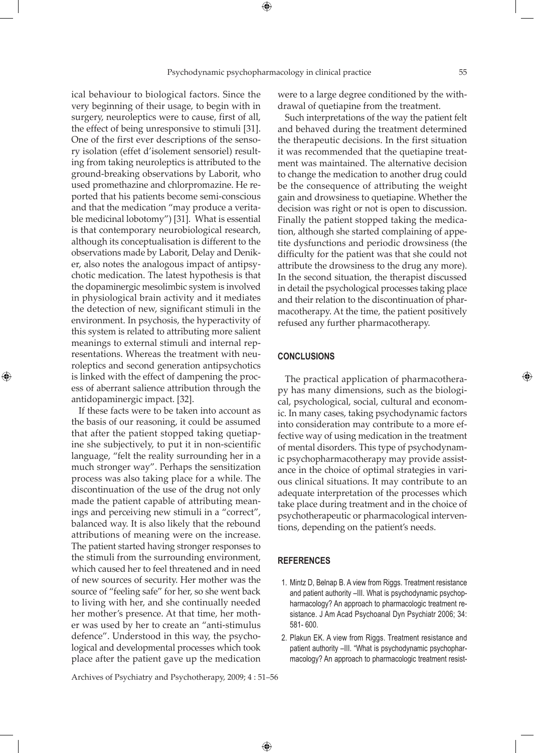ical behaviour to biological factors. Since the very beginning of their usage, to begin with in surgery, neuroleptics were to cause, first of all, the effect of being unresponsive to stimuli [31]. One of the first ever descriptions of the sensory isolation (effet d'isolement sensoriel) resulting from taking neuroleptics is attributed to the ground-breaking observations by Laborit, who used promethazine and chlorpromazine. He reported that his patients become semi-conscious and that the medication "may produce a veritable medicinal lobotomy") [31]. What is essential is that contemporary neurobiological research, although its conceptualisation is different to the observations made by Laborit, Delay and Deniker, also notes the analogous impact of antipsychotic medication. The latest hypothesis is that the dopaminergic mesolimbic system is involved in physiological brain activity and it mediates the detection of new, significant stimuli in the environment. In psychosis, the hyperactivity of this system is related to attributing more salient meanings to external stimuli and internal representations. Whereas the treatment with neuroleptics and second generation antipsychotics is linked with the effect of dampening the process of aberrant salience attribution through the antidopaminergic impact. [32].

⊕

If these facts were to be taken into account as the basis of our reasoning, it could be assumed that after the patient stopped taking quetiapine she subjectively, to put it in non-scientific language, "felt the reality surrounding her in a much stronger way". Perhaps the sensitization process was also taking place for a while. The discontinuation of the use of the drug not only made the patient capable of attributing meanings and perceiving new stimuli in a "correct", balanced way. It is also likely that the rebound attributions of meaning were on the increase. The patient started having stronger responses to the stimuli from the surrounding environment, which caused her to feel threatened and in need of new sources of security. Her mother was the source of "feeling safe" for her, so she went back to living with her, and she continually needed her mother's presence. At that time, her mother was used by her to create an "anti-stimulus defence". Understood in this way, the psychological and developmental processes which took place after the patient gave up the medication

were to a large degree conditioned by the withdrawal of quetiapine from the treatment.

Such interpretations of the way the patient felt and behaved during the treatment determined the therapeutic decisions. In the first situation it was recommended that the quetiapine treatment was maintained. The alternative decision to change the medication to another drug could be the consequence of attributing the weight gain and drowsiness to quetiapine. Whether the decision was right or not is open to discussion. Finally the patient stopped taking the medication, although she started complaining of appetite dysfunctions and periodic drowsiness (the difficulty for the patient was that she could not attribute the drowsiness to the drug any more). In the second situation, the therapist discussed in detail the psychological processes taking place and their relation to the discontinuation of pharmacotherapy. At the time, the patient positively refused any further pharmacotherapy.

#### **CONCLUSIONS**

The practical application of pharmacotherapy has many dimensions, such as the biological, psychological, social, cultural and economic. In many cases, taking psychodynamic factors into consideration may contribute to a more effective way of using medication in the treatment of mental disorders. This type of psychodynamic psychopharmacotherapy may provide assistance in the choice of optimal strategies in various clinical situations. It may contribute to an adequate interpretation of the processes which take place during treatment and in the choice of psychotherapeutic or pharmacological interventions, depending on the patient's needs.

## **REFERENCES**

 $\bigoplus$ 

- 1. Mintz D, Belnap B. A view from Riggs. Treatment resistance and patient authority –III. What is psychodynamic psychopharmacology? An approach to pharmacologic treatment resistance. J Am Acad Psychoanal Dyn Psychiatr 2006; 34: 581- 600.
- 2. Plakun EK. A view from Riggs. Treatment resistance and patient authority –III. "What is psychodynamic psychopharmacology? An approach to pharmacologic treatment resist-

Archives of Psychiatry and Psychotherapy, 2009; 4 : 51–56